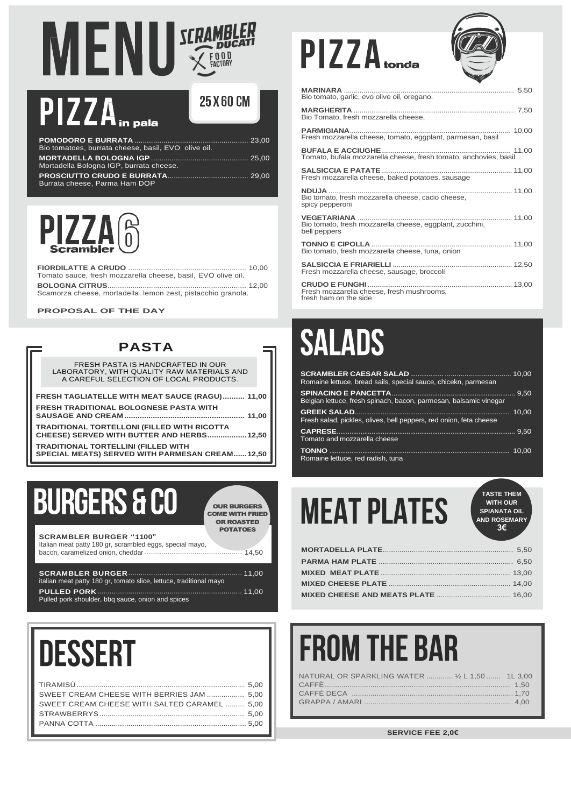# MENU SCRAMBLER

## PIZZA<sub>In pala</sub>

| 25 X 60 CM |  |
|------------|--|
|------------|--|

| Bio tomatoes, burrata cheese, basil, EVO olive oil. |  |
|-----------------------------------------------------|--|
| Mortadella Bologna IGP, burrata cheese.             |  |
| Burrata cheese, Parma Ham DOP                       |  |



**FIORDILATTE A CRUDO** ......................................................... 10,00 Tomato sauce, fresh mozzarella cheese, basil, EVO olive oil. **BOLOGNA CITRUS**................................................................... 12,00

Scamorza cheese, mortadella, lemon zest, pistacchio granola.

**PROPOSAL OF THE DAY**

#### **PASTA**

FRESH PASTA IS HANDCRAFTED IN OUR LABORATORY, WITH QUALITY RAW MATERIALS AND A CAREFUL SELECTION OF LOCAL PRODUCTS.

**FRESH TAGLIATELLE WITH MEAT SAUCE (RAGU).......... 11,00 FRESH TRADITIONAL BOLOGNESE PASTA WITH**

**SAUSAGE AND CREAM ....................................................... 11,00 TRADITIONAL TORTELLONI (FILLED WITH RICOTTA** 

**CHEESE) SERVED WITH BUTTER AND HERBS..................12,50**

**TRADITIONAL TORTELLINI (FILLED WITH SPECIAL MEATS) SERVED WITH PARMESAN CREAM......12,50**

## **BURGERS & CO**

**SCRAMBLER BURGER "1100"**

OUR BURGERS COME WITH FRIED OR ROASTED POTATOES

Italian meat patty 180 gr, scrambled eggs, special mayo, bacon, caramelized onion, cheddar ............................................... 14,50

| italian meat patty 180 gr, tomato slice, lettuce, traditional mayo |  |
|--------------------------------------------------------------------|--|
| Pulled pork shoulder, bbg sauce, onion and spices                  |  |

# **DESSERT**

| SWEET CREAM CHEESE WITH BERRIES JAM  5,00    |  |
|----------------------------------------------|--|
| SWEET CREAM CHEESE WITH SALTED CARAMEL  5,00 |  |
|                                              |  |
|                                              |  |
|                                              |  |

# $PIZZA_{\text{total}}$



| Bio tomato, garlic, evo olive oil, oregano.                                                   |
|-----------------------------------------------------------------------------------------------|
| Bio Tomato, fresh mozzarella cheese,                                                          |
| Fresh mozzarella cheese, tomato, eggplant, parmesan, basil                                    |
| <b>BUFALA E ACCIUGHE.</b><br>Tomato, bufala mozzarella cheese, fresh tomato, anchovies, basil |
| Fresh mozzarella cheese, baked potatoes, sausage                                              |
| Bio tomato, fresh mozzarella cheese, cacio cheese,<br>spicy pepperoni                         |
| Bio tomato, fresh mozzarella cheese, eggplant, zucchini,<br>bell peppers                      |
| Bio tomato, fresh mozzarella cheese, tuna, onion                                              |
| Fresh mozzarella cheese, sausage, broccoli                                                    |
| Fresh mozzarella cheese, fresh mushrooms,<br>fresh ham on the side                            |

### **SALADS**

| Romaine lettuce, bread sails, special sauce, chicekn, parmesan     |  |
|--------------------------------------------------------------------|--|
|                                                                    |  |
| Belgian lettuce, fresh spinach, bacon, parmesan, balsamic vinegar  |  |
| Fresh salad, pickles, olives, bell peppers, red onion, feta cheese |  |
| Tomato and mozzarella cheese                                       |  |
| Romaine lettuce, red radish, tuna                                  |  |

| 'EA. | <b>TASTE THEM</b><br><b>WITH OUR</b><br><b>SPIANATA OIL</b><br><b>AND ROSEMARY</b><br>3€ |
|------|------------------------------------------------------------------------------------------|
|      | 5.50                                                                                     |
|      | 6.50                                                                                     |

### **FROM THE BAR**

| NATURAL OR SPARKLING WATER  1/2 L 1,50  1L 3,00 |  |
|-------------------------------------------------|--|
|                                                 |  |
|                                                 |  |
|                                                 |  |
|                                                 |  |

**SERVICE FEE 2,0€**